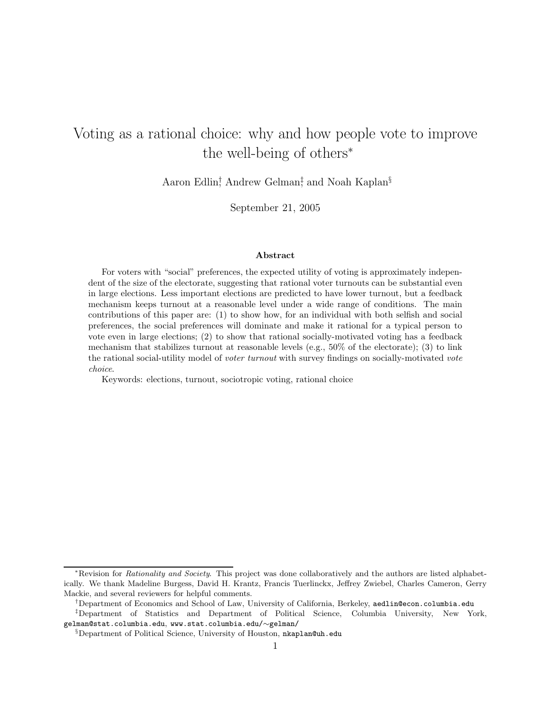# Voting as a rational choice: why and how people vote to improve the well-being of others<sup>∗</sup>

Aaron Edlin<sup>†</sup>, Andrew Gelman<sup>‡</sup>, and Noah Kaplan<sup>§</sup>

September 21, 2005

#### Abstract

For voters with "social" preferences, the expected utility of voting is approximately independent of the size of the electorate, suggesting that rational voter turnouts can be substantial even in large elections. Less important elections are predicted to have lower turnout, but a feedback mechanism keeps turnout at a reasonable level under a wide range of conditions. The main contributions of this paper are: (1) to show how, for an individual with both selfish and social preferences, the social preferences will dominate and make it rational for a typical person to vote even in large elections; (2) to show that rational socially-motivated voting has a feedback mechanism that stabilizes turnout at reasonable levels (e.g.,  $50\%$  of the electorate); (3) to link the rational social-utility model of voter turnout with survey findings on socially-motivated vote choice.

Keywords: elections, turnout, sociotropic voting, rational choice

†Department of Economics and School of Law, University of California, Berkeley, aedlin@econ.columbia.edu

<sup>\*</sup>Revision for Rationality and Society. This project was done collaboratively and the authors are listed alphabetically. We thank Madeline Burgess, David H. Krantz, Francis Tuerlinckx, Jeffrey Zwiebel, Charles Cameron, Gerry Mackie, and several reviewers for helpful comments.

<sup>‡</sup>Department of Statistics and Department of Political Science, Columbia University, New York, gelman@stat.columbia.edu, www.stat.columbia.edu/∼gelman/

<sup>§</sup>Department of Political Science, University of Houston, nkaplan@uh.edu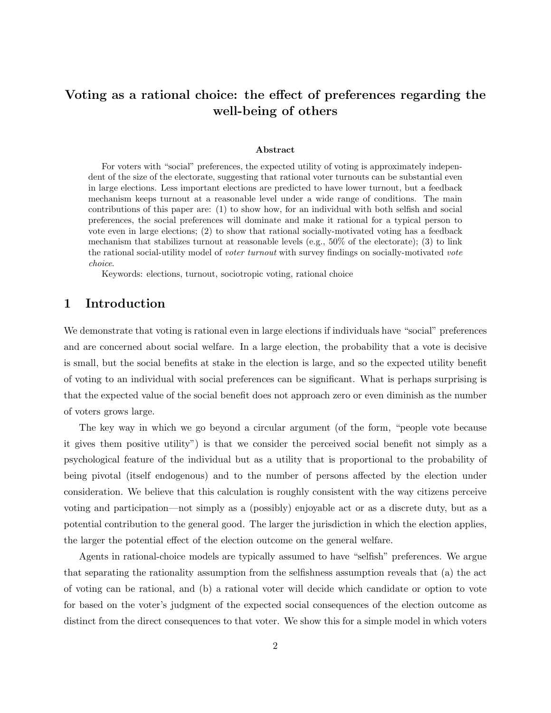## Voting as a rational choice: the effect of preferences regarding the well-being of others

#### Abstract

For voters with "social" preferences, the expected utility of voting is approximately independent of the size of the electorate, suggesting that rational voter turnouts can be substantial even in large elections. Less important elections are predicted to have lower turnout, but a feedback mechanism keeps turnout at a reasonable level under a wide range of conditions. The main contributions of this paper are: (1) to show how, for an individual with both selfish and social preferences, the social preferences will dominate and make it rational for a typical person to vote even in large elections; (2) to show that rational socially-motivated voting has a feedback mechanism that stabilizes turnout at reasonable levels (e.g.,  $50\%$  of the electorate); (3) to link the rational social-utility model of voter turnout with survey findings on socially-motivated vote choice.

Keywords: elections, turnout, sociotropic voting, rational choice

### 1 Introduction

We demonstrate that voting is rational even in large elections if individuals have "social" preferences and are concerned about social welfare. In a large election, the probability that a vote is decisive is small, but the social benefits at stake in the election is large, and so the expected utility benefit of voting to an individual with social preferences can be significant. What is perhaps surprising is that the expected value of the social benefit does not approach zero or even diminish as the number of voters grows large.

The key way in which we go beyond a circular argument (of the form, "people vote because it gives them positive utility") is that we consider the perceived social benefit not simply as a psychological feature of the individual but as a utility that is proportional to the probability of being pivotal (itself endogenous) and to the number of persons affected by the election under consideration. We believe that this calculation is roughly consistent with the way citizens perceive voting and participation—not simply as a (possibly) enjoyable act or as a discrete duty, but as a potential contribution to the general good. The larger the jurisdiction in which the election applies, the larger the potential effect of the election outcome on the general welfare.

Agents in rational-choice models are typically assumed to have "selfish" preferences. We argue that separating the rationality assumption from the selfishness assumption reveals that (a) the act of voting can be rational, and (b) a rational voter will decide which candidate or option to vote for based on the voter's judgment of the expected social consequences of the election outcome as distinct from the direct consequences to that voter. We show this for a simple model in which voters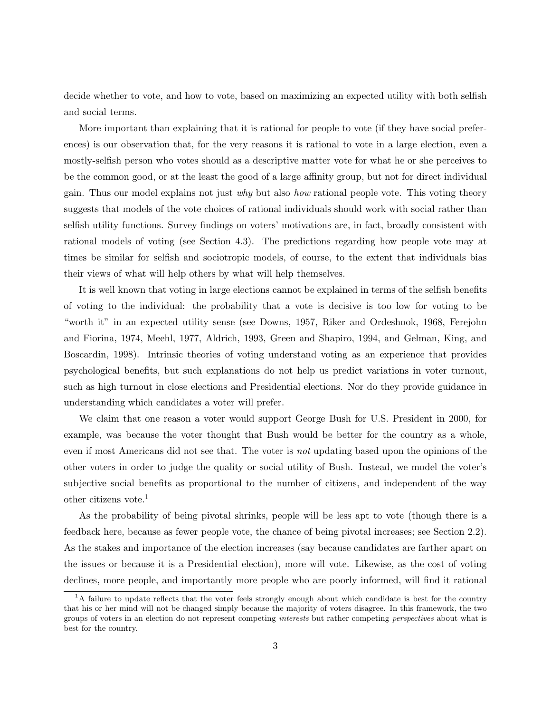decide whether to vote, and how to vote, based on maximizing an expected utility with both selfish and social terms.

More important than explaining that it is rational for people to vote (if they have social preferences) is our observation that, for the very reasons it is rational to vote in a large election, even a mostly-selfish person who votes should as a descriptive matter vote for what he or she perceives to be the common good, or at the least the good of a large affinity group, but not for direct individual gain. Thus our model explains not just why but also how rational people vote. This voting theory suggests that models of the vote choices of rational individuals should work with social rather than selfish utility functions. Survey findings on voters' motivations are, in fact, broadly consistent with rational models of voting (see Section 4.3). The predictions regarding how people vote may at times be similar for selfish and sociotropic models, of course, to the extent that individuals bias their views of what will help others by what will help themselves.

It is well known that voting in large elections cannot be explained in terms of the selfish benefits of voting to the individual: the probability that a vote is decisive is too low for voting to be "worth it" in an expected utility sense (see Downs, 1957, Riker and Ordeshook, 1968, Ferejohn and Fiorina, 1974, Meehl, 1977, Aldrich, 1993, Green and Shapiro, 1994, and Gelman, King, and Boscardin, 1998). Intrinsic theories of voting understand voting as an experience that provides psychological benefits, but such explanations do not help us predict variations in voter turnout, such as high turnout in close elections and Presidential elections. Nor do they provide guidance in understanding which candidates a voter will prefer.

We claim that one reason a voter would support George Bush for U.S. President in 2000, for example, was because the voter thought that Bush would be better for the country as a whole, even if most Americans did not see that. The voter is not updating based upon the opinions of the other voters in order to judge the quality or social utility of Bush. Instead, we model the voter's subjective social benefits as proportional to the number of citizens, and independent of the way other citizens vote.<sup>1</sup>

As the probability of being pivotal shrinks, people will be less apt to vote (though there is a feedback here, because as fewer people vote, the chance of being pivotal increases; see Section 2.2). As the stakes and importance of the election increases (say because candidates are farther apart on the issues or because it is a Presidential election), more will vote. Likewise, as the cost of voting declines, more people, and importantly more people who are poorly informed, will find it rational

<sup>&</sup>lt;sup>1</sup>A failure to update reflects that the voter feels strongly enough about which candidate is best for the country that his or her mind will not be changed simply because the majority of voters disagree. In this framework, the two groups of voters in an election do not represent competing interests but rather competing perspectives about what is best for the country.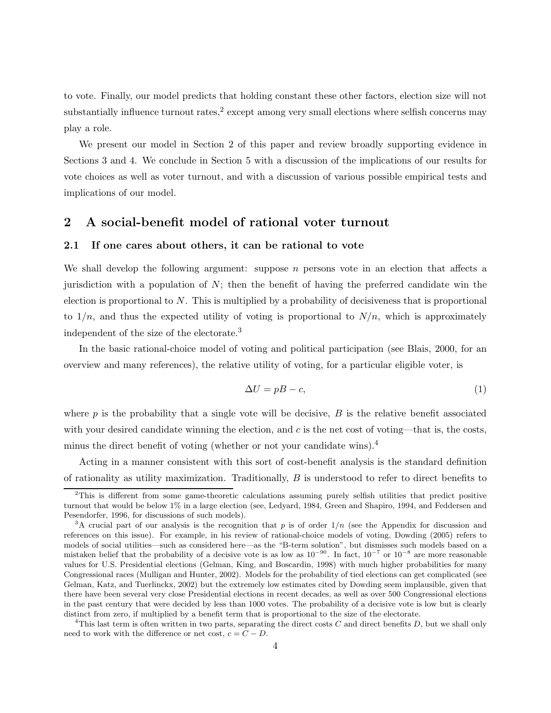to vote. Finally, our model predicts that holding constant these other factors, election size will not substantially influence turnout rates,<sup>2</sup> except among very small elections where selfish concerns may play a role.

We present our model in Section 2 of this paper and review broadly supporting evidence in Sections 3 and 4. We conclude in Section 5 with a discussion of the implications of our results for vote choices as well as voter turnout, and with a discussion of various possible empirical tests and implications of our model.

### 2 A social-benefit model of rational voter turnout

#### 2.1 If one cares about others, it can be rational to vote

We shall develop the following argument: suppose  $n$  persons vote in an election that affects a jurisdiction with a population of  $N$ ; then the benefit of having the preferred candidate win the election is proportional to  $N$ . This is multiplied by a probability of decisiveness that is proportional to  $1/n$ , and thus the expected utility of voting is proportional to  $N/n$ , which is approximately independent of the size of the electorate.<sup>3</sup>

In the basic rational-choice model of voting and political participation (see Blais, 2000, for an overview and many references), the relative utility of voting, for a particular eligible voter, is

$$
\Delta U = pB - c,\tag{1}
$$

where  $p$  is the probability that a single vote will be decisive,  $B$  is the relative benefit associated with your desired candidate winning the election, and  $c$  is the net cost of voting—that is, the costs, minus the direct benefit of voting (whether or not your candidate wins).<sup>4</sup>

Acting in a manner consistent with this sort of cost-benefit analysis is the standard definition of rationality as utility maximization. Traditionally, B is understood to refer to direct benefits to

<sup>&</sup>lt;sup>2</sup>This is different from some game-theoretic calculations assuming purely selfish utilities that predict positive turnout that would be below 1% in a large election (see, Ledyard, 1984, Green and Shapiro, 1994, and Feddersen and Pesendorfer, 1996, for discussions of such models).

<sup>&</sup>lt;sup>3</sup>A crucial part of our analysis is the recognition that p is of order  $1/n$  (see the Appendix for discussion and references on this issue). For example, in his review of rational-choice models of voting, Dowding (2005) refers to models of social utilities—such as considered here—as the "B-term solution", but dismisses such models based on a mistaken belief that the probability of a decisive vote is as low as  $10^{-90}$ . In fact,  $10^{-7}$  or  $10^{-8}$  are more reasonable values for U.S. Presidential elections (Gelman, King, and Boscardin, 1998) with much higher probabilities for many Congressional races (Mulligan and Hunter, 2002). Models for the probability of tied elections can get complicated (see Gelman, Katz, and Tuerlinckx, 2002) but the extremely low estimates cited by Dowding seem implausible, given that there have been several very close Presidential elections in recent decades, as well as over 500 Congressional elections in the past century that were decided by less than 1000 votes. The probability of a decisive vote is low but is clearly distinct from zero, if multiplied by a benefit term that is proportional to the size of the electorate.

<sup>&</sup>lt;sup>4</sup>This last term is often written in two parts, separating the direct costs  $C$  and direct benefits  $D$ , but we shall only need to work with the difference or net cost,  $c = C - D$ .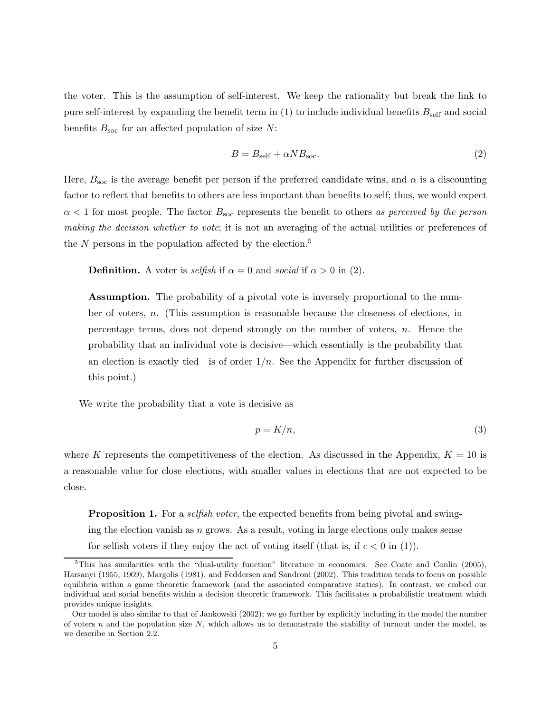the voter. This is the assumption of self-interest. We keep the rationality but break the link to pure self-interest by expanding the benefit term in  $(1)$  to include individual benefits  $B_{\text{self}}$  and social benefits  $B_{\text{soc}}$  for an affected population of size N:

$$
B = B_{\text{self}} + \alpha N B_{\text{soc}}.\tag{2}
$$

Here,  $B_{\text{soc}}$  is the average benefit per person if the preferred candidate wins, and  $\alpha$  is a discounting factor to reflect that benefits to others are less important than benefits to self; thus, we would expect  $\alpha$  < 1 for most people. The factor  $B_{\text{soc}}$  represents the benefit to others as perceived by the person making the decision whether to vote; it is not an averaging of the actual utilities or preferences of the  $N$  persons in the population affected by the election.<sup>5</sup>

**Definition.** A voter is selfish if  $\alpha = 0$  and social if  $\alpha > 0$  in (2).

Assumption. The probability of a pivotal vote is inversely proportional to the number of voters, n. (This assumption is reasonable because the closeness of elections, in percentage terms, does not depend strongly on the number of voters, n. Hence the probability that an individual vote is decisive—which essentially is the probability that an election is exactly tied—is of order  $1/n$ . See the Appendix for further discussion of this point.)

We write the probability that a vote is decisive as

$$
p = K/n,\tag{3}
$$

where K represents the competitiveness of the election. As discussed in the Appendix,  $K = 10$  is a reasonable value for close elections, with smaller values in elections that are not expected to be close.

**Proposition 1.** For a *selfish voter*, the expected benefits from being pivotal and swinging the election vanish as  $n$  grows. As a result, voting in large elections only makes sense for selfish voters if they enjoy the act of voting itself (that is, if  $c < 0$  in (1)).

 $5$ This has similarities with the "dual-utility function" literature in economics. See Coate and Conlin (2005), Harsanyi (1955, 1969), Margolis (1981), and Feddersen and Sandroni (2002). This tradition tends to focus on possible equilibria within a game theoretic framework (and the associated comparative statics). In contrast, we embed our individual and social benefits within a decision theoretic framework. This facilitates a probabilistic treatment which provides unique insights.

Our model is also similar to that of Jankowski (2002); we go further by explicitly including in the model the number of voters  $n$  and the population size  $N$ , which allows us to demonstrate the stability of turnout under the model, as we describe in Section 2.2.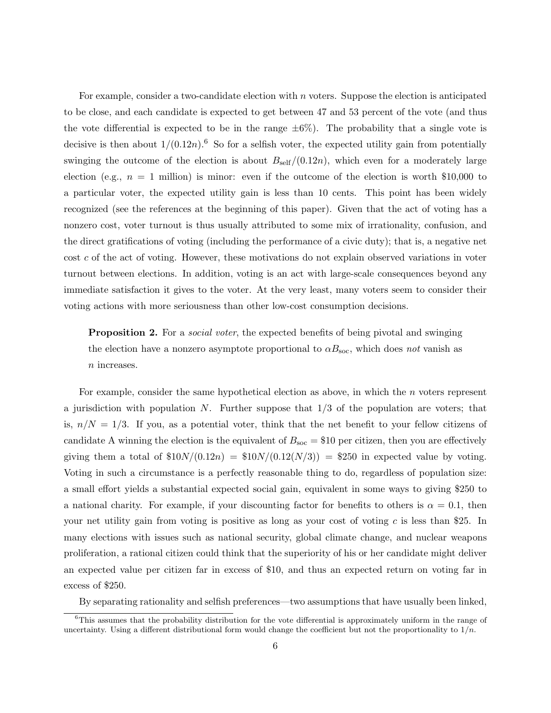For example, consider a two-candidate election with  $n$  voters. Suppose the election is anticipated to be close, and each candidate is expected to get between 47 and 53 percent of the vote (and thus the vote differential is expected to be in the range  $\pm 6\%$ ). The probability that a single vote is decisive is then about  $1/(0.12n)$ .<sup>6</sup> So for a selfish voter, the expected utility gain from potentially swinging the outcome of the election is about  $B_{\text{self}}/(0.12n)$ , which even for a moderately large election (e.g.,  $n = 1$  million) is minor: even if the outcome of the election is worth \$10,000 to a particular voter, the expected utility gain is less than 10 cents. This point has been widely recognized (see the references at the beginning of this paper). Given that the act of voting has a nonzero cost, voter turnout is thus usually attributed to some mix of irrationality, confusion, and the direct gratifications of voting (including the performance of a civic duty); that is, a negative net cost c of the act of voting. However, these motivations do not explain observed variations in voter turnout between elections. In addition, voting is an act with large-scale consequences beyond any immediate satisfaction it gives to the voter. At the very least, many voters seem to consider their voting actions with more seriousness than other low-cost consumption decisions.

**Proposition 2.** For a *social voter*, the expected benefits of being pivotal and swinging the election have a nonzero asymptote proportional to  $\alpha B_{\text{soc}}$ , which does not vanish as n increases.

For example, consider the same hypothetical election as above, in which the n voters represent a jurisdiction with population  $N$ . Further suppose that  $1/3$  of the population are voters; that is,  $n/N = 1/3$ . If you, as a potential voter, think that the net benefit to your fellow citizens of candidate A winning the election is the equivalent of  $B_{\text{soc}} = $10$  per citizen, then you are effectively giving them a total of  $\frac{$10N}{(0.12n)} = \frac{$10N}{(0.12(N/3))} = \frac{$250}{(0.12(N/3))} = \frac{$250}{(0.12(N/3))} = \frac{$250}{(0.12(N/3))} = \frac{$250}{(0.12(N/3))} = \frac{$250}{(0.12(N/3))} = \frac{$250}{(0.12(N/3))} = \frac{$250}{(0.12(N/3))} = \frac{$250}{(0.12(N/3))} = \frac{$250}{(0.12(N/3))} = \frac$ Voting in such a circumstance is a perfectly reasonable thing to do, regardless of population size: a small effort yields a substantial expected social gain, equivalent in some ways to giving \$250 to a national charity. For example, if your discounting factor for benefits to others is  $\alpha = 0.1$ , then your net utility gain from voting is positive as long as your cost of voting  $c$  is less than \$25. In many elections with issues such as national security, global climate change, and nuclear weapons proliferation, a rational citizen could think that the superiority of his or her candidate might deliver an expected value per citizen far in excess of \$10, and thus an expected return on voting far in excess of \$250.

By separating rationality and selfish preferences—two assumptions that have usually been linked,

<sup>&</sup>lt;sup>6</sup>This assumes that the probability distribution for the vote differential is approximately uniform in the range of uncertainty. Using a different distributional form would change the coefficient but not the proportionality to  $1/n$ .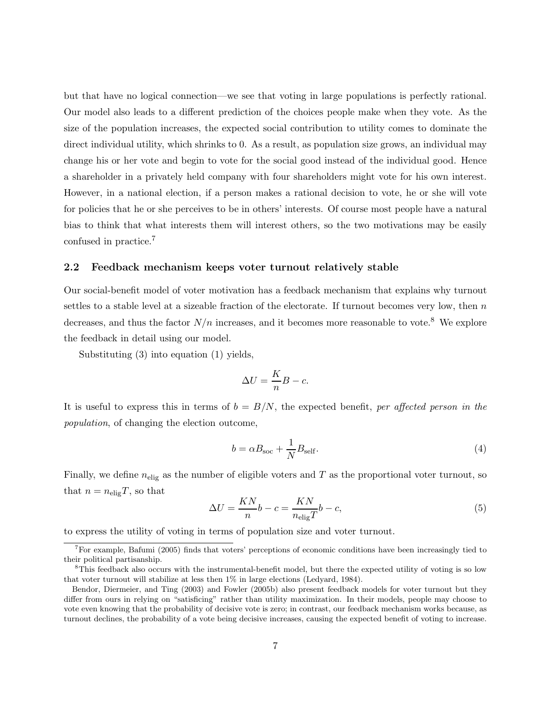but that have no logical connection—we see that voting in large populations is perfectly rational. Our model also leads to a different prediction of the choices people make when they vote. As the size of the population increases, the expected social contribution to utility comes to dominate the direct individual utility, which shrinks to 0. As a result, as population size grows, an individual may change his or her vote and begin to vote for the social good instead of the individual good. Hence a shareholder in a privately held company with four shareholders might vote for his own interest. However, in a national election, if a person makes a rational decision to vote, he or she will vote for policies that he or she perceives to be in others' interests. Of course most people have a natural bias to think that what interests them will interest others, so the two motivations may be easily confused in practice.<sup>7</sup>

### 2.2 Feedback mechanism keeps voter turnout relatively stable

Our social-benefit model of voter motivation has a feedback mechanism that explains why turnout settles to a stable level at a sizeable fraction of the electorate. If turnout becomes very low, then  $n$ decreases, and thus the factor  $N/n$  increases, and it becomes more reasonable to vote.<sup>8</sup> We explore the feedback in detail using our model.

Substituting (3) into equation (1) yields,

$$
\Delta U = \frac{K}{n}B - c.
$$

It is useful to express this in terms of  $b = B/N$ , the expected benefit, per affected person in the population, of changing the election outcome,

$$
b = \alpha B_{\text{soc}} + \frac{1}{N} B_{\text{self}}.\tag{4}
$$

Finally, we define  $n_{\text{elig}}$  as the number of eligible voters and T as the proportional voter turnout, so that  $n = n_{\text{elig}}T$ , so that

$$
\Delta U = \frac{KN}{n}b - c = \frac{KN}{n_{\text{elig}}T}b - c,\tag{5}
$$

to express the utility of voting in terms of population size and voter turnout.

<sup>7</sup>For example, Bafumi (2005) finds that voters' perceptions of economic conditions have been increasingly tied to their political partisanship.

<sup>8</sup>This feedback also occurs with the instrumental-benefit model, but there the expected utility of voting is so low that voter turnout will stabilize at less then 1% in large elections (Ledyard, 1984).

Bendor, Diermeier, and Ting (2003) and Fowler (2005b) also present feedback models for voter turnout but they differ from ours in relying on "satisficing" rather than utility maximization. In their models, people may choose to vote even knowing that the probability of decisive vote is zero; in contrast, our feedback mechanism works because, as turnout declines, the probability of a vote being decisive increases, causing the expected benefit of voting to increase.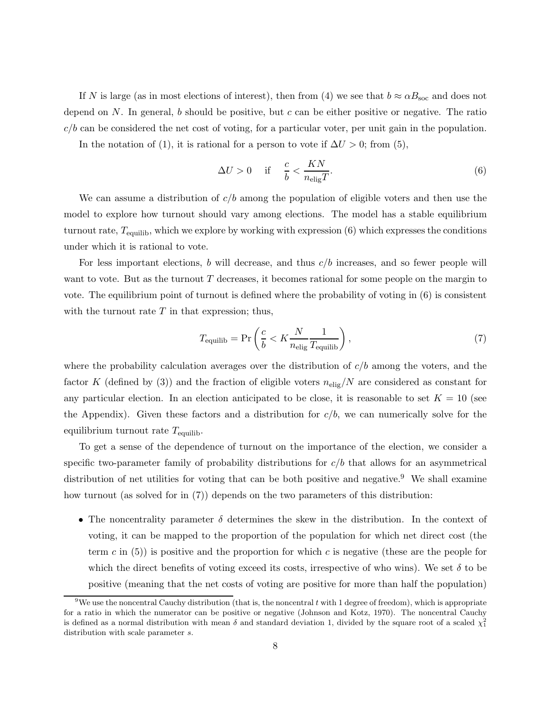If N is large (as in most elections of interest), then from (4) we see that  $b \approx \alpha B_{\text{soc}}$  and does not depend on N. In general, b should be positive, but c can be either positive or negative. The ratio  $c/b$  can be considered the net cost of voting, for a particular voter, per unit gain in the population.

In the notation of (1), it is rational for a person to vote if  $\Delta U > 0$ ; from (5),

$$
\Delta U > 0 \quad \text{if} \quad \frac{c}{b} < \frac{KN}{n_{\text{elig}}T}.\tag{6}
$$

We can assume a distribution of  $c/b$  among the population of eligible voters and then use the model to explore how turnout should vary among elections. The model has a stable equilibrium turnout rate,  $T_{\text{equilib}}$ , which we explore by working with expression (6) which expresses the conditions under which it is rational to vote.

For less important elections,  $b$  will decrease, and thus  $c/b$  increases, and so fewer people will want to vote. But as the turnout  $T$  decreases, it becomes rational for some people on the margin to vote. The equilibrium point of turnout is defined where the probability of voting in (6) is consistent with the turnout rate  $T$  in that expression; thus,

$$
T_{\text{equilib}} = \Pr\left(\frac{c}{b} < K \frac{N}{n_{\text{elig}}} \frac{1}{T_{\text{equilib}}}\right),\tag{7}
$$

where the probability calculation averages over the distribution of  $c/b$  among the voters, and the factor K (defined by (3)) and the fraction of eligible voters  $n_{\text{elig}}/N$  are considered as constant for any particular election. In an election anticipated to be close, it is reasonable to set  $K = 10$  (see the Appendix). Given these factors and a distribution for  $c/b$ , we can numerically solve for the equilibrium turnout rate  $T_{\text{equilib}}$ .

To get a sense of the dependence of turnout on the importance of the election, we consider a specific two-parameter family of probability distributions for  $c/b$  that allows for an asymmetrical distribution of net utilities for voting that can be both positive and negative.<sup>9</sup> We shall examine how turnout (as solved for in (7)) depends on the two parameters of this distribution:

• The noncentrality parameter  $\delta$  determines the skew in the distribution. In the context of voting, it can be mapped to the proportion of the population for which net direct cost (the term c in  $(5)$ ) is positive and the proportion for which c is negative (these are the people for which the direct benefits of voting exceed its costs, irrespective of who wins). We set  $\delta$  to be positive (meaning that the net costs of voting are positive for more than half the population)

<sup>&</sup>lt;sup>9</sup>We use the noncentral Cauchy distribution (that is, the noncentral t with 1 degree of freedom), which is appropriate for a ratio in which the numerator can be positive or negative (Johnson and Kotz, 1970). The noncentral Cauchy is defined as a normal distribution with mean  $\delta$  and standard deviation 1, divided by the square root of a scaled  $\chi_1^2$ distribution with scale parameter s.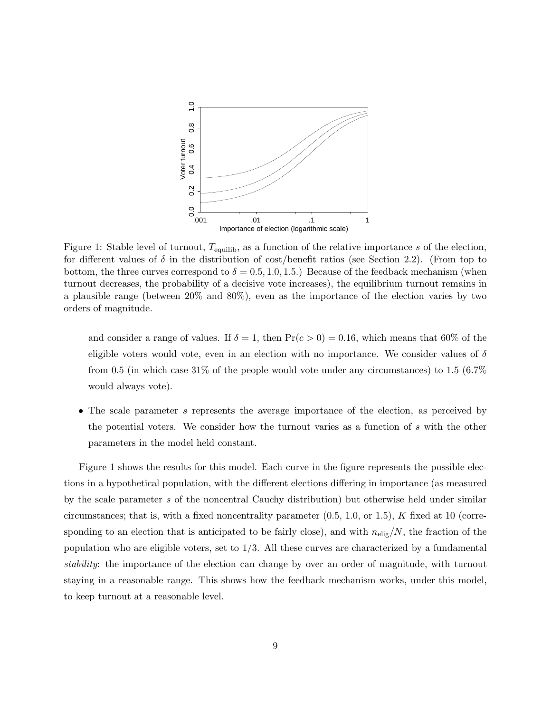

Figure 1: Stable level of turnout,  $T_{\text{equilib}}$ , as a function of the relative importance s of the election, for different values of  $\delta$  in the distribution of cost/benefit ratios (see Section 2.2). (From top to bottom, the three curves correspond to  $\delta = 0.5, 1.0, 1.5$ .) Because of the feedback mechanism (when turnout decreases, the probability of a decisive vote increases), the equilibrium turnout remains in a plausible range (between 20% and 80%), even as the importance of the election varies by two orders of magnitude.

and consider a range of values. If  $\delta = 1$ , then  $Pr(c > 0) = 0.16$ , which means that 60% of the eligible voters would vote, even in an election with no importance. We consider values of  $\delta$ from 0.5 (in which case 31% of the people would vote under any circumstances) to 1.5 (6.7%) would always vote).

• The scale parameter s represents the average importance of the election, as perceived by the potential voters. We consider how the turnout varies as a function of s with the other parameters in the model held constant.

Figure 1 shows the results for this model. Each curve in the figure represents the possible elections in a hypothetical population, with the different elections differing in importance (as measured by the scale parameter s of the noncentral Cauchy distribution) but otherwise held under similar circumstances; that is, with a fixed noncentrality parameter  $(0.5, 1.0, \text{or } 1.5)$ , K fixed at 10 (corresponding to an election that is anticipated to be fairly close), and with  $n_{\text{elig}}/N$ , the fraction of the population who are eligible voters, set to  $1/3$ . All these curves are characterized by a fundamental stability: the importance of the election can change by over an order of magnitude, with turnout staying in a reasonable range. This shows how the feedback mechanism works, under this model, to keep turnout at a reasonable level.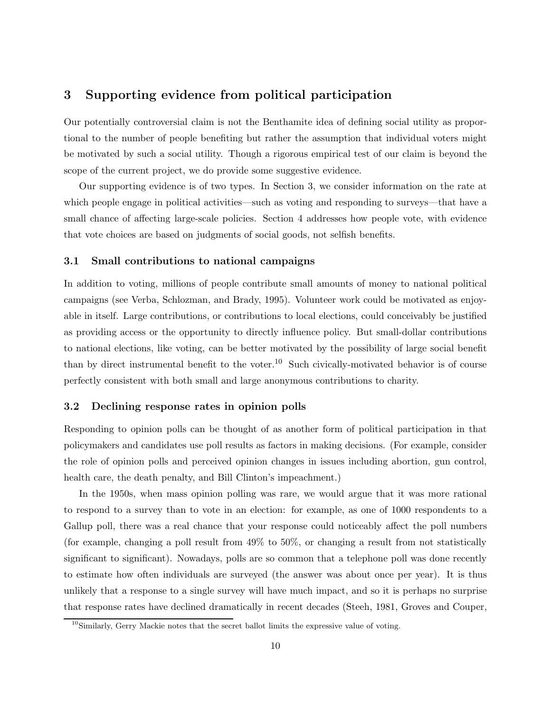### 3 Supporting evidence from political participation

Our potentially controversial claim is not the Benthamite idea of defining social utility as proportional to the number of people benefiting but rather the assumption that individual voters might be motivated by such a social utility. Though a rigorous empirical test of our claim is beyond the scope of the current project, we do provide some suggestive evidence.

Our supporting evidence is of two types. In Section 3, we consider information on the rate at which people engage in political activities—such as voting and responding to surveys—that have a small chance of affecting large-scale policies. Section 4 addresses how people vote, with evidence that vote choices are based on judgments of social goods, not selfish benefits.

### 3.1 Small contributions to national campaigns

In addition to voting, millions of people contribute small amounts of money to national political campaigns (see Verba, Schlozman, and Brady, 1995). Volunteer work could be motivated as enjoyable in itself. Large contributions, or contributions to local elections, could conceivably be justified as providing access or the opportunity to directly influence policy. But small-dollar contributions to national elections, like voting, can be better motivated by the possibility of large social benefit than by direct instrumental benefit to the voter.<sup>10</sup> Such civically-motivated behavior is of course perfectly consistent with both small and large anonymous contributions to charity.

### 3.2 Declining response rates in opinion polls

Responding to opinion polls can be thought of as another form of political participation in that policymakers and candidates use poll results as factors in making decisions. (For example, consider the role of opinion polls and perceived opinion changes in issues including abortion, gun control, health care, the death penalty, and Bill Clinton's impeachment.)

In the 1950s, when mass opinion polling was rare, we would argue that it was more rational to respond to a survey than to vote in an election: for example, as one of 1000 respondents to a Gallup poll, there was a real chance that your response could noticeably affect the poll numbers (for example, changing a poll result from 49% to 50%, or changing a result from not statistically significant to significant). Nowadays, polls are so common that a telephone poll was done recently to estimate how often individuals are surveyed (the answer was about once per year). It is thus unlikely that a response to a single survey will have much impact, and so it is perhaps no surprise that response rates have declined dramatically in recent decades (Steeh, 1981, Groves and Couper,

 $10$ Similarly, Gerry Mackie notes that the secret ballot limits the expressive value of voting.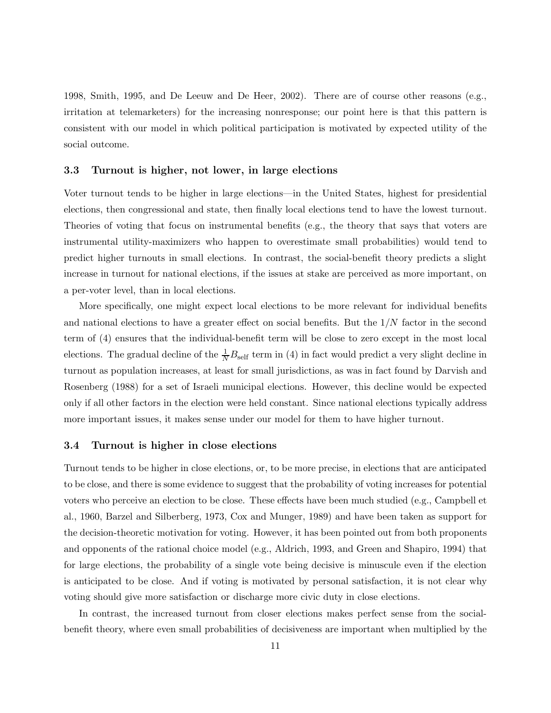1998, Smith, 1995, and De Leeuw and De Heer, 2002). There are of course other reasons (e.g., irritation at telemarketers) for the increasing nonresponse; our point here is that this pattern is consistent with our model in which political participation is motivated by expected utility of the social outcome.

#### 3.3 Turnout is higher, not lower, in large elections

Voter turnout tends to be higher in large elections—in the United States, highest for presidential elections, then congressional and state, then finally local elections tend to have the lowest turnout. Theories of voting that focus on instrumental benefits (e.g., the theory that says that voters are instrumental utility-maximizers who happen to overestimate small probabilities) would tend to predict higher turnouts in small elections. In contrast, the social-benefit theory predicts a slight increase in turnout for national elections, if the issues at stake are perceived as more important, on a per-voter level, than in local elections.

More specifically, one might expect local elections to be more relevant for individual benefits and national elections to have a greater effect on social benefits. But the  $1/N$  factor in the second term of (4) ensures that the individual-benefit term will be close to zero except in the most local elections. The gradual decline of the  $\frac{1}{N}B_{\text{self}}$  term in (4) in fact would predict a very slight decline in turnout as population increases, at least for small jurisdictions, as was in fact found by Darvish and Rosenberg (1988) for a set of Israeli municipal elections. However, this decline would be expected only if all other factors in the election were held constant. Since national elections typically address more important issues, it makes sense under our model for them to have higher turnout.

#### 3.4 Turnout is higher in close elections

Turnout tends to be higher in close elections, or, to be more precise, in elections that are anticipated to be close, and there is some evidence to suggest that the probability of voting increases for potential voters who perceive an election to be close. These effects have been much studied (e.g., Campbell et al., 1960, Barzel and Silberberg, 1973, Cox and Munger, 1989) and have been taken as support for the decision-theoretic motivation for voting. However, it has been pointed out from both proponents and opponents of the rational choice model (e.g., Aldrich, 1993, and Green and Shapiro, 1994) that for large elections, the probability of a single vote being decisive is minuscule even if the election is anticipated to be close. And if voting is motivated by personal satisfaction, it is not clear why voting should give more satisfaction or discharge more civic duty in close elections.

In contrast, the increased turnout from closer elections makes perfect sense from the socialbenefit theory, where even small probabilities of decisiveness are important when multiplied by the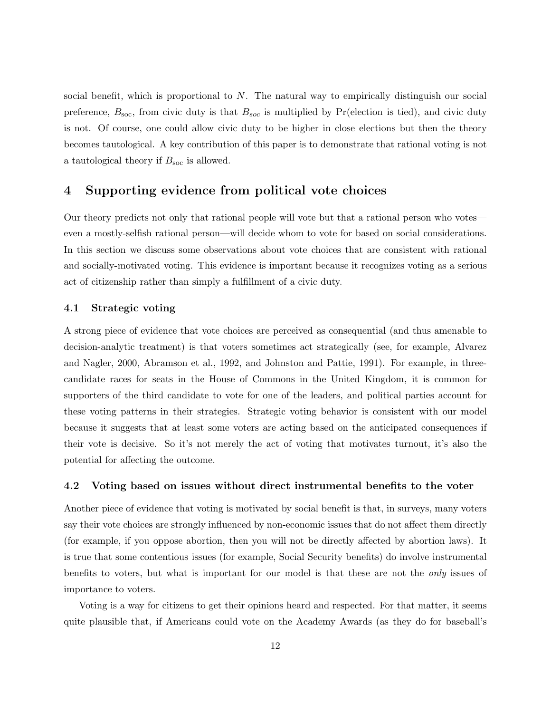social benefit, which is proportional to N. The natural way to empirically distinguish our social preference,  $B_{\text{soc}}$ , from civic duty is that  $B_{\text{soc}}$  is multiplied by Pr(election is tied), and civic duty is not. Of course, one could allow civic duty to be higher in close elections but then the theory becomes tautological. A key contribution of this paper is to demonstrate that rational voting is not a tautological theory if  $B_{\text{soc}}$  is allowed.

### 4 Supporting evidence from political vote choices

Our theory predicts not only that rational people will vote but that a rational person who votes even a mostly-selfish rational person—will decide whom to vote for based on social considerations. In this section we discuss some observations about vote choices that are consistent with rational and socially-motivated voting. This evidence is important because it recognizes voting as a serious act of citizenship rather than simply a fulfillment of a civic duty.

### 4.1 Strategic voting

A strong piece of evidence that vote choices are perceived as consequential (and thus amenable to decision-analytic treatment) is that voters sometimes act strategically (see, for example, Alvarez and Nagler, 2000, Abramson et al., 1992, and Johnston and Pattie, 1991). For example, in threecandidate races for seats in the House of Commons in the United Kingdom, it is common for supporters of the third candidate to vote for one of the leaders, and political parties account for these voting patterns in their strategies. Strategic voting behavior is consistent with our model because it suggests that at least some voters are acting based on the anticipated consequences if their vote is decisive. So it's not merely the act of voting that motivates turnout, it's also the potential for affecting the outcome.

#### 4.2 Voting based on issues without direct instrumental benefits to the voter

Another piece of evidence that voting is motivated by social benefit is that, in surveys, many voters say their vote choices are strongly influenced by non-economic issues that do not affect them directly (for example, if you oppose abortion, then you will not be directly affected by abortion laws). It is true that some contentious issues (for example, Social Security benefits) do involve instrumental benefits to voters, but what is important for our model is that these are not the only issues of importance to voters.

Voting is a way for citizens to get their opinions heard and respected. For that matter, it seems quite plausible that, if Americans could vote on the Academy Awards (as they do for baseball's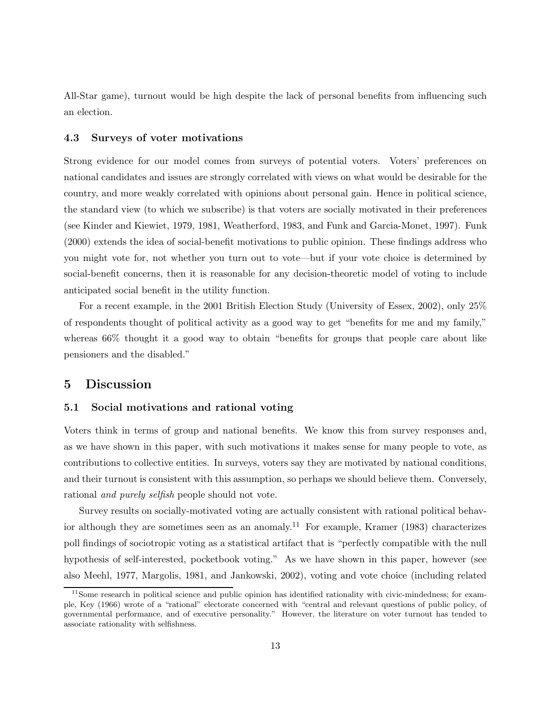All-Star game), turnout would be high despite the lack of personal benefits from influencing such an election.

### 4.3 Surveys of voter motivations

Strong evidence for our model comes from surveys of potential voters. Voters' preferences on national candidates and issues are strongly correlated with views on what would be desirable for the country, and more weakly correlated with opinions about personal gain. Hence in political science, the standard view (to which we subscribe) is that voters are socially motivated in their preferences (see Kinder and Kiewiet, 1979, 1981, Weatherford, 1983, and Funk and Garcia-Monet, 1997). Funk (2000) extends the idea of social-benefit motivations to public opinion. These findings address who you might vote for, not whether you turn out to vote—but if your vote choice is determined by social-benefit concerns, then it is reasonable for any decision-theoretic model of voting to include anticipated social benefit in the utility function.

For a recent example, in the 2001 British Election Study (University of Essex, 2002), only 25% of respondents thought of political activity as a good way to get "benefits for me and my family," whereas 66% thought it a good way to obtain "benefits for groups that people care about like pensioners and the disabled."

### 5 Discussion

### 5.1 Social motivations and rational voting

Voters think in terms of group and national benefits. We know this from survey responses and, as we have shown in this paper, with such motivations it makes sense for many people to vote, as contributions to collective entities. In surveys, voters say they are motivated by national conditions, and their turnout is consistent with this assumption, so perhaps we should believe them. Conversely, rational and purely selfish people should not vote.

Survey results on socially-motivated voting are actually consistent with rational political behavior although they are sometimes seen as an anomaly.<sup>11</sup> For example, Kramer (1983) characterizes poll findings of sociotropic voting as a statistical artifact that is "perfectly compatible with the null hypothesis of self-interested, pocketbook voting." As we have shown in this paper, however (see also Meehl, 1977, Margolis, 1981, and Jankowski, 2002), voting and vote choice (including related

 $11$ Some research in political science and public opinion has identified rationality with civic-mindedness; for example, Key (1966) wrote of a "rational" electorate concerned with "central and relevant questions of public policy, of governmental performance, and of executive personality." However, the literature on voter turnout has tended to associate rationality with selfishness.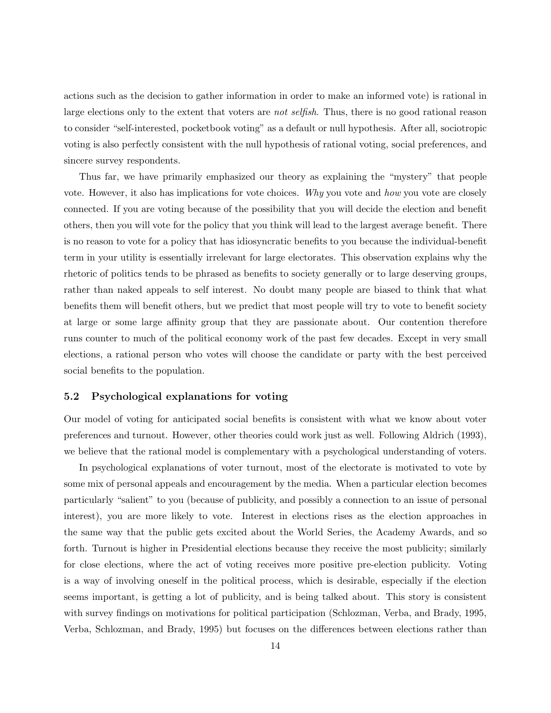actions such as the decision to gather information in order to make an informed vote) is rational in large elections only to the extent that voters are *not selfish*. Thus, there is no good rational reason to consider "self-interested, pocketbook voting" as a default or null hypothesis. After all, sociotropic voting is also perfectly consistent with the null hypothesis of rational voting, social preferences, and sincere survey respondents.

Thus far, we have primarily emphasized our theory as explaining the "mystery" that people vote. However, it also has implications for vote choices. Why you vote and how you vote are closely connected. If you are voting because of the possibility that you will decide the election and benefit others, then you will vote for the policy that you think will lead to the largest average benefit. There is no reason to vote for a policy that has idiosyncratic benefits to you because the individual-benefit term in your utility is essentially irrelevant for large electorates. This observation explains why the rhetoric of politics tends to be phrased as benefits to society generally or to large deserving groups, rather than naked appeals to self interest. No doubt many people are biased to think that what benefits them will benefit others, but we predict that most people will try to vote to benefit society at large or some large affinity group that they are passionate about. Our contention therefore runs counter to much of the political economy work of the past few decades. Except in very small elections, a rational person who votes will choose the candidate or party with the best perceived social benefits to the population.

### 5.2 Psychological explanations for voting

Our model of voting for anticipated social benefits is consistent with what we know about voter preferences and turnout. However, other theories could work just as well. Following Aldrich (1993), we believe that the rational model is complementary with a psychological understanding of voters.

In psychological explanations of voter turnout, most of the electorate is motivated to vote by some mix of personal appeals and encouragement by the media. When a particular election becomes particularly "salient" to you (because of publicity, and possibly a connection to an issue of personal interest), you are more likely to vote. Interest in elections rises as the election approaches in the same way that the public gets excited about the World Series, the Academy Awards, and so forth. Turnout is higher in Presidential elections because they receive the most publicity; similarly for close elections, where the act of voting receives more positive pre-election publicity. Voting is a way of involving oneself in the political process, which is desirable, especially if the election seems important, is getting a lot of publicity, and is being talked about. This story is consistent with survey findings on motivations for political participation (Schlozman, Verba, and Brady, 1995, Verba, Schlozman, and Brady, 1995) but focuses on the differences between elections rather than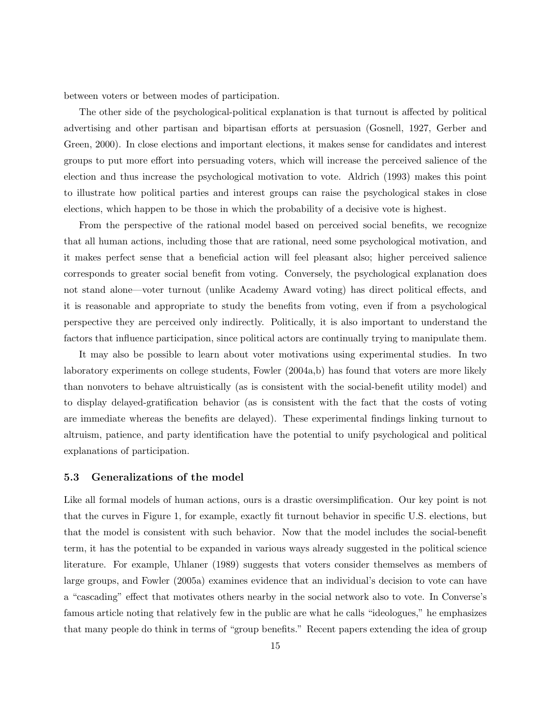between voters or between modes of participation.

The other side of the psychological-political explanation is that turnout is affected by political advertising and other partisan and bipartisan efforts at persuasion (Gosnell, 1927, Gerber and Green, 2000). In close elections and important elections, it makes sense for candidates and interest groups to put more effort into persuading voters, which will increase the perceived salience of the election and thus increase the psychological motivation to vote. Aldrich (1993) makes this point to illustrate how political parties and interest groups can raise the psychological stakes in close elections, which happen to be those in which the probability of a decisive vote is highest.

From the perspective of the rational model based on perceived social benefits, we recognize that all human actions, including those that are rational, need some psychological motivation, and it makes perfect sense that a beneficial action will feel pleasant also; higher perceived salience corresponds to greater social benefit from voting. Conversely, the psychological explanation does not stand alone—voter turnout (unlike Academy Award voting) has direct political effects, and it is reasonable and appropriate to study the benefits from voting, even if from a psychological perspective they are perceived only indirectly. Politically, it is also important to understand the factors that influence participation, since political actors are continually trying to manipulate them.

It may also be possible to learn about voter motivations using experimental studies. In two laboratory experiments on college students, Fowler (2004a,b) has found that voters are more likely than nonvoters to behave altruistically (as is consistent with the social-benefit utility model) and to display delayed-gratification behavior (as is consistent with the fact that the costs of voting are immediate whereas the benefits are delayed). These experimental findings linking turnout to altruism, patience, and party identification have the potential to unify psychological and political explanations of participation.

#### 5.3 Generalizations of the model

Like all formal models of human actions, ours is a drastic oversimplification. Our key point is not that the curves in Figure 1, for example, exactly fit turnout behavior in specific U.S. elections, but that the model is consistent with such behavior. Now that the model includes the social-benefit term, it has the potential to be expanded in various ways already suggested in the political science literature. For example, Uhlaner (1989) suggests that voters consider themselves as members of large groups, and Fowler (2005a) examines evidence that an individual's decision to vote can have a "cascading" effect that motivates others nearby in the social network also to vote. In Converse's famous article noting that relatively few in the public are what he calls "ideologues," he emphasizes that many people do think in terms of "group benefits." Recent papers extending the idea of group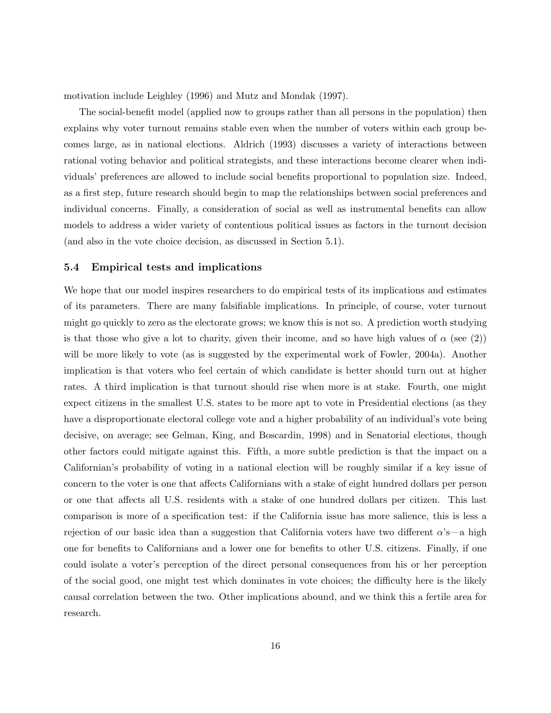motivation include Leighley (1996) and Mutz and Mondak (1997).

The social-benefit model (applied now to groups rather than all persons in the population) then explains why voter turnout remains stable even when the number of voters within each group becomes large, as in national elections. Aldrich (1993) discusses a variety of interactions between rational voting behavior and political strategists, and these interactions become clearer when individuals' preferences are allowed to include social benefits proportional to population size. Indeed, as a first step, future research should begin to map the relationships between social preferences and individual concerns. Finally, a consideration of social as well as instrumental benefits can allow models to address a wider variety of contentious political issues as factors in the turnout decision (and also in the vote choice decision, as discussed in Section 5.1).

#### 5.4 Empirical tests and implications

We hope that our model inspires researchers to do empirical tests of its implications and estimates of its parameters. There are many falsifiable implications. In principle, of course, voter turnout might go quickly to zero as the electorate grows; we know this is not so. A prediction worth studying is that those who give a lot to charity, given their income, and so have high values of  $\alpha$  (see (2)) will be more likely to vote (as is suggested by the experimental work of Fowler, 2004a). Another implication is that voters who feel certain of which candidate is better should turn out at higher rates. A third implication is that turnout should rise when more is at stake. Fourth, one might expect citizens in the smallest U.S. states to be more apt to vote in Presidential elections (as they have a disproportionate electoral college vote and a higher probability of an individual's vote being decisive, on average; see Gelman, King, and Boscardin, 1998) and in Senatorial elections, though other factors could mitigate against this. Fifth, a more subtle prediction is that the impact on a Californian's probability of voting in a national election will be roughly similar if a key issue of concern to the voter is one that affects Californians with a stake of eight hundred dollars per person or one that affects all U.S. residents with a stake of one hundred dollars per citizen. This last comparison is more of a specification test: if the California issue has more salience, this is less a rejection of our basic idea than a suggestion that California voters have two different  $\alpha$ 's—a high one for benefits to Californians and a lower one for benefits to other U.S. citizens. Finally, if one could isolate a voter's perception of the direct personal consequences from his or her perception of the social good, one might test which dominates in vote choices; the difficulty here is the likely causal correlation between the two. Other implications abound, and we think this a fertile area for research.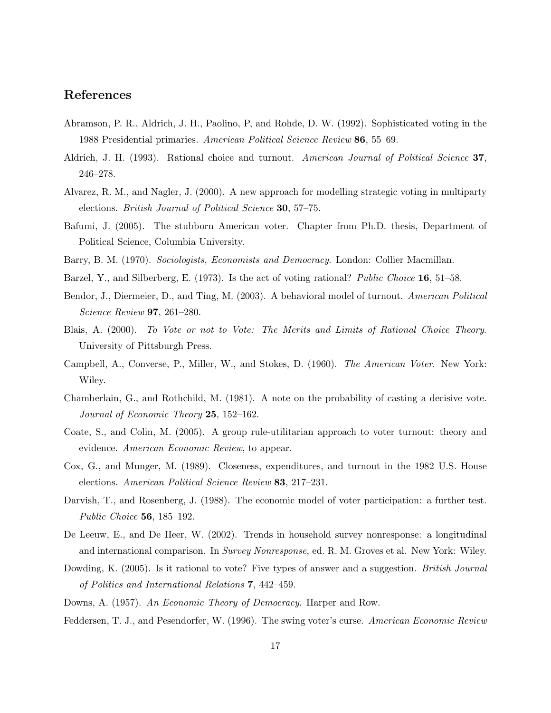### References

- Abramson, P. R., Aldrich, J. H., Paolino, P, and Rohde, D. W. (1992). Sophisticated voting in the 1988 Presidential primaries. American Political Science Review 86, 55–69.
- Aldrich, J. H. (1993). Rational choice and turnout. American Journal of Political Science 37, 246–278.
- Alvarez, R. M., and Nagler, J. (2000). A new approach for modelling strategic voting in multiparty elections. *British Journal of Political Science* **30**, 57–75.
- Bafumi, J. (2005). The stubborn American voter. Chapter from Ph.D. thesis, Department of Political Science, Columbia University.
- Barry, B. M. (1970). *Sociologists, Economists and Democracy*. London: Collier Macmillan.
- Barzel, Y., and Silberberg, E. (1973). Is the act of voting rational? Public Choice 16, 51–58.
- Bendor, J., Diermeier, D., and Ting, M. (2003). A behavioral model of turnout. American Political Science Review 97, 261–280.
- Blais, A. (2000). To Vote or not to Vote: The Merits and Limits of Rational Choice Theory. University of Pittsburgh Press.
- Campbell, A., Converse, P., Miller, W., and Stokes, D. (1960). The American Voter. New York: Wiley.
- Chamberlain, G., and Rothchild, M. (1981). A note on the probability of casting a decisive vote. Journal of Economic Theory 25, 152–162.
- Coate, S., and Colin, M. (2005). A group rule-utilitarian approach to voter turnout: theory and evidence. American Economic Review, to appear.
- Cox, G., and Munger, M. (1989). Closeness, expenditures, and turnout in the 1982 U.S. House elections. American Political Science Review 83, 217–231.
- Darvish, T., and Rosenberg, J. (1988). The economic model of voter participation: a further test. Public Choice 56, 185–192.
- De Leeuw, E., and De Heer, W. (2002). Trends in household survey nonresponse: a longitudinal and international comparison. In Survey Nonresponse, ed. R. M. Groves et al. New York: Wiley.
- Dowding, K. (2005). Is it rational to vote? Five types of answer and a suggestion. *British Journal* of Politics and International Relations 7, 442–459.
- Downs, A. (1957). An Economic Theory of Democracy. Harper and Row.
- Feddersen, T. J., and Pesendorfer, W. (1996). The swing voter's curse. American Economic Review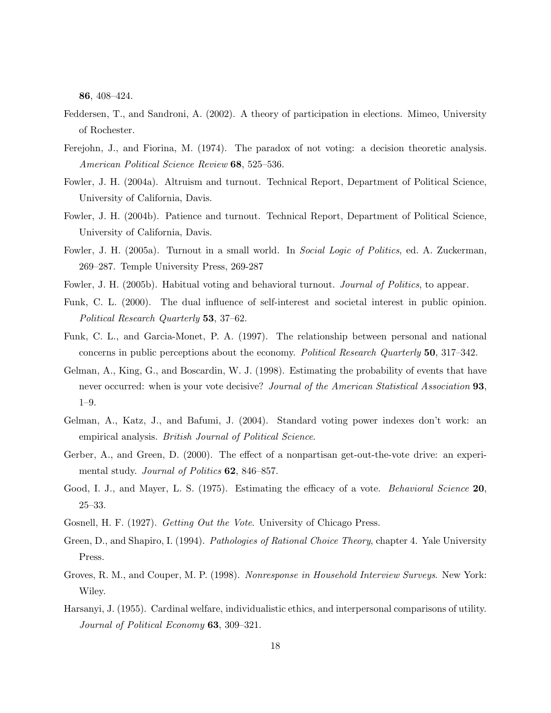86, 408–424.

- Feddersen, T., and Sandroni, A. (2002). A theory of participation in elections. Mimeo, University of Rochester.
- Ferejohn, J., and Fiorina, M. (1974). The paradox of not voting: a decision theoretic analysis. American Political Science Review 68, 525–536.
- Fowler, J. H. (2004a). Altruism and turnout. Technical Report, Department of Political Science, University of California, Davis.
- Fowler, J. H. (2004b). Patience and turnout. Technical Report, Department of Political Science, University of California, Davis.
- Fowler, J. H. (2005a). Turnout in a small world. In Social Logic of Politics, ed. A. Zuckerman, 269–287. Temple University Press, 269-287
- Fowler, J. H. (2005b). Habitual voting and behavioral turnout. *Journal of Politics*, to appear.
- Funk, C. L. (2000). The dual influence of self-interest and societal interest in public opinion. Political Research Quarterly 53, 37–62.
- Funk, C. L., and Garcia-Monet, P. A. (1997). The relationship between personal and national concerns in public perceptions about the economy. Political Research Quarterly 50, 317–342.
- Gelman, A., King, G., and Boscardin, W. J. (1998). Estimating the probability of events that have never occurred: when is your vote decisive? Journal of the American Statistical Association 93, 1–9.
- Gelman, A., Katz, J., and Bafumi, J. (2004). Standard voting power indexes don't work: an empirical analysis. *British Journal of Political Science*.
- Gerber, A., and Green, D. (2000). The effect of a nonpartisan get-out-the-vote drive: an experimental study. Journal of Politics 62, 846–857.
- Good, I. J., and Mayer, L. S. (1975). Estimating the efficacy of a vote. *Behavioral Science* 20, 25–33.
- Gosnell, H. F. (1927). Getting Out the Vote. University of Chicago Press.
- Green, D., and Shapiro, I. (1994). *Pathologies of Rational Choice Theory*, chapter 4. Yale University Press.
- Groves, R. M., and Couper, M. P. (1998). Nonresponse in Household Interview Surveys. New York: Wiley.
- Harsanyi, J. (1955). Cardinal welfare, individualistic ethics, and interpersonal comparisons of utility. Journal of Political Economy 63, 309–321.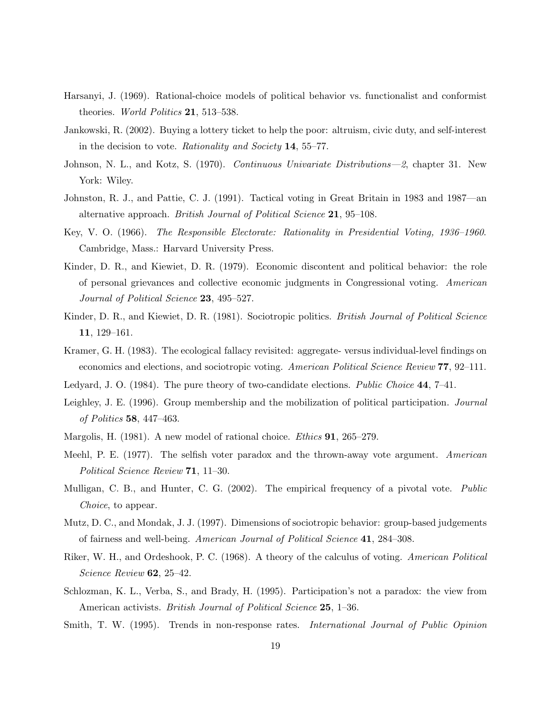- Harsanyi, J. (1969). Rational-choice models of political behavior vs. functionalist and conformist theories. *World Politics* **21**, 513–538.
- Jankowski, R. (2002). Buying a lottery ticket to help the poor: altruism, civic duty, and self-interest in the decision to vote. Rationality and Society 14, 55–77.
- Johnson, N. L., and Kotz, S. (1970). Continuous Univariate Distributions—2, chapter 31. New York: Wiley.
- Johnston, R. J., and Pattie, C. J. (1991). Tactical voting in Great Britain in 1983 and 1987—an alternative approach. British Journal of Political Science 21, 95–108.
- Key, V. O. (1966). The Responsible Electorate: Rationality in Presidential Voting, 1936–1960. Cambridge, Mass.: Harvard University Press.
- Kinder, D. R., and Kiewiet, D. R. (1979). Economic discontent and political behavior: the role of personal grievances and collective economic judgments in Congressional voting. American Journal of Political Science 23, 495–527.
- Kinder, D. R., and Kiewiet, D. R. (1981). Sociotropic politics. *British Journal of Political Science* 11, 129–161.
- Kramer, G. H. (1983). The ecological fallacy revisited: aggregate- versus individual-level findings on economics and elections, and sociotropic voting. American Political Science Review 77, 92–111.
- Ledyard, J. O. (1984). The pure theory of two-candidate elections. Public Choice 44, 7–41.
- Leighley, J. E. (1996). Group membership and the mobilization of political participation. Journal of Politics 58, 447–463.
- Margolis, H. (1981). A new model of rational choice. *Ethics* **91**, 265–279.
- Meehl, P. E. (1977). The selfish voter paradox and the thrown-away vote argument. American Political Science Review 71, 11–30.
- Mulligan, C. B., and Hunter, C. G. (2002). The empirical frequency of a pivotal vote. Public Choice, to appear.
- Mutz, D. C., and Mondak, J. J. (1997). Dimensions of sociotropic behavior: group-based judgements of fairness and well-being. American Journal of Political Science 41, 284–308.
- Riker, W. H., and Ordeshook, P. C. (1968). A theory of the calculus of voting. American Political Science Review 62, 25-42.
- Schlozman, K. L., Verba, S., and Brady, H. (1995). Participation's not a paradox: the view from American activists. *British Journal of Political Science* 25, 1–36.
- Smith, T. W. (1995). Trends in non-response rates. *International Journal of Public Opinion*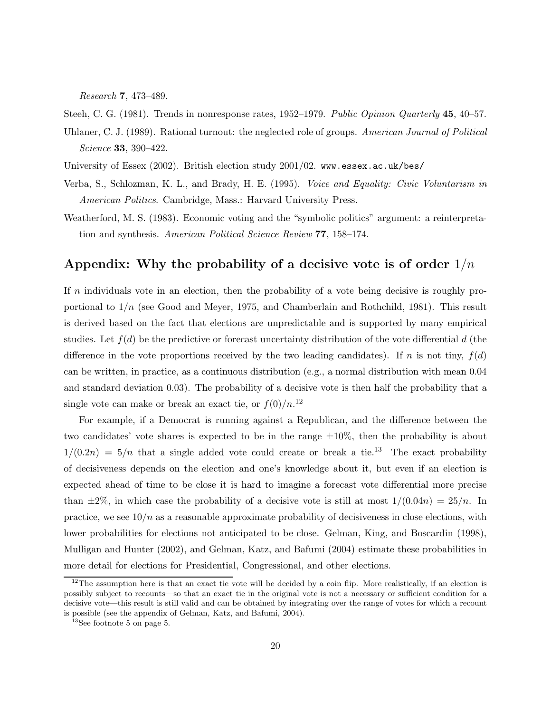Research 7, 473–489.

Steeh, C. G. (1981). Trends in nonresponse rates, 1952–1979. Public Opinion Quarterly 45, 40–57.

- Uhlaner, C. J. (1989). Rational turnout: the neglected role of groups. American Journal of Political Science 33, 390–422.
- University of Essex (2002). British election study 2001/02. www.essex.ac.uk/bes/
- Verba, S., Schlozman, K. L., and Brady, H. E. (1995). Voice and Equality: Civic Voluntarism in American Politics. Cambridge, Mass.: Harvard University Press.
- Weatherford, M. S. (1983). Economic voting and the "symbolic politics" argument: a reinterpretation and synthesis. American Political Science Review 77, 158–174.

### Appendix: Why the probability of a decisive vote is of order  $1/n$

If  $n$  individuals vote in an election, then the probability of a vote being decisive is roughly proportional to  $1/n$  (see Good and Meyer, 1975, and Chamberlain and Rothchild, 1981). This result is derived based on the fact that elections are unpredictable and is supported by many empirical studies. Let  $f(d)$  be the predictive or forecast uncertainty distribution of the vote differential d (the difference in the vote proportions received by the two leading candidates). If n is not tiny,  $f(d)$ can be written, in practice, as a continuous distribution (e.g., a normal distribution with mean 0.04 and standard deviation 0.03). The probability of a decisive vote is then half the probability that a single vote can make or break an exact tie, or  $f(0)/n^{12}$ 

For example, if a Democrat is running against a Republican, and the difference between the two candidates' vote shares is expected to be in the range  $\pm 10\%$ , then the probability is about  $1/(0.2n) = 5/n$  that a single added vote could create or break a tie.<sup>13</sup> The exact probability of decisiveness depends on the election and one's knowledge about it, but even if an election is expected ahead of time to be close it is hard to imagine a forecast vote differential more precise than  $\pm 2\%$ , in which case the probability of a decisive vote is still at most  $1/(0.04n) = 25/n$ . In practice, we see  $10/n$  as a reasonable approximate probability of decisiveness in close elections, with lower probabilities for elections not anticipated to be close. Gelman, King, and Boscardin (1998), Mulligan and Hunter (2002), and Gelman, Katz, and Bafumi (2004) estimate these probabilities in more detail for elections for Presidential, Congressional, and other elections.

 $12$ The assumption here is that an exact tie vote will be decided by a coin flip. More realistically, if an election is possibly subject to recounts—so that an exact tie in the original vote is not a necessary or sufficient condition for a decisive vote—this result is still valid and can be obtained by integrating over the range of votes for which a recount is possible (see the appendix of Gelman, Katz, and Bafumi, 2004).

<sup>13</sup>See footnote 5 on page 5.